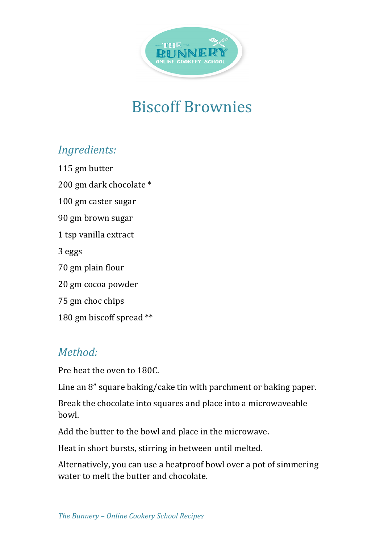

## **Biscoff Brownies**

## *Ingredients:*

115 gm butter 200 gm dark chocolate \* 100 gm caster sugar 90 gm brown sugar 1 tsp vanilla extract 3 eggs 70 gm plain flour 20 gm cocoa powder 75 gm choc chips 180 gm biscoff spread \*\*

## *Method:*

Pre heat the oven to 180C.

Line an  $8$ " square baking/cake tin with parchment or baking paper.

Break the chocolate into squares and place into a microwaveable bowl.

Add the butter to the bowl and place in the microwave.

Heat in short bursts, stirring in between until melted.

Alternatively, you can use a heatproof bowl over a pot of simmering water to melt the butter and chocolate.